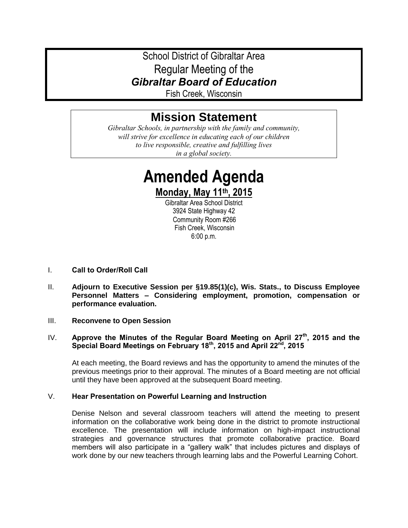# School District of Gibraltar Area Regular Meeting of the *Gibraltar Board of Education*

Fish Creek, Wisconsin

# **Mission Statement**

*Gibraltar Schools, in partnership with the family and community, will strive for excellence in educating each of our children to live responsible, creative and fulfilling lives in a global society.*

> **Amended Agenda Monday, May 11th, 2015**

Gibraltar Area School District 3924 State Highway 42 Community Room #266 Fish Creek, Wisconsin 6:00 p.m.

- I. **Call to Order/Roll Call**
- II. **Adjourn to Executive Session per §19.85(1)(c), Wis. Stats., to Discuss Employee Personnel Matters – Considering employment, promotion, compensation or performance evaluation.**
- III. **Reconvene to Open Session**

# IV. **Approve the Minutes of the Regular Board Meeting on April 27th, 2015 and the Special Board Meetings on February 18th, 2015 and April 22nd, 2015**

At each meeting, the Board reviews and has the opportunity to amend the minutes of the previous meetings prior to their approval. The minutes of a Board meeting are not official until they have been approved at the subsequent Board meeting.

# V. **Hear Presentation on Powerful Learning and Instruction**

Denise Nelson and several classroom teachers will attend the meeting to present information on the collaborative work being done in the district to promote instructional excellence. The presentation will include information on high-impact instructional strategies and governance structures that promote collaborative practice. Board members will also participate in a "gallery walk" that includes pictures and displays of work done by our new teachers through learning labs and the Powerful Learning Cohort.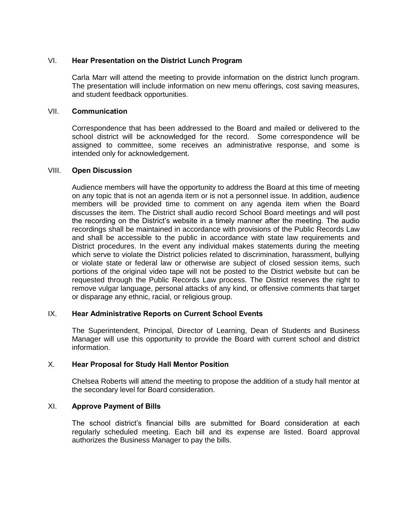# VI. **Hear Presentation on the District Lunch Program**

Carla Marr will attend the meeting to provide information on the district lunch program. The presentation will include information on new menu offerings, cost saving measures, and student feedback opportunities.

# VII. **Communication**

Correspondence that has been addressed to the Board and mailed or delivered to the school district will be acknowledged for the record. Some correspondence will be assigned to committee, some receives an administrative response, and some is intended only for acknowledgement.

#### VIII. **Open Discussion**

Audience members will have the opportunity to address the Board at this time of meeting on any topic that is not an agenda item or is not a personnel issue. In addition, audience members will be provided time to comment on any agenda item when the Board discusses the item. The District shall audio record School Board meetings and will post the recording on the District's website in a timely manner after the meeting. The audio recordings shall be maintained in accordance with provisions of the Public Records Law and shall be accessible to the public in accordance with state law requirements and District procedures. In the event any individual makes statements during the meeting which serve to violate the District policies related to discrimination, harassment, bullying or violate state or federal law or otherwise are subject of closed session items, such portions of the original video tape will not be posted to the District website but can be requested through the Public Records Law process. The District reserves the right to remove vulgar language, personal attacks of any kind, or offensive comments that target or disparage any ethnic, racial, or religious group.

# IX. **Hear Administrative Reports on Current School Events**

The Superintendent, Principal, Director of Learning, Dean of Students and Business Manager will use this opportunity to provide the Board with current school and district information.

# X. **Hear Proposal for Study Hall Mentor Position**

Chelsea Roberts will attend the meeting to propose the addition of a study hall mentor at the secondary level for Board consideration.

#### XI. **Approve Payment of Bills**

The school district's financial bills are submitted for Board consideration at each regularly scheduled meeting. Each bill and its expense are listed. Board approval authorizes the Business Manager to pay the bills.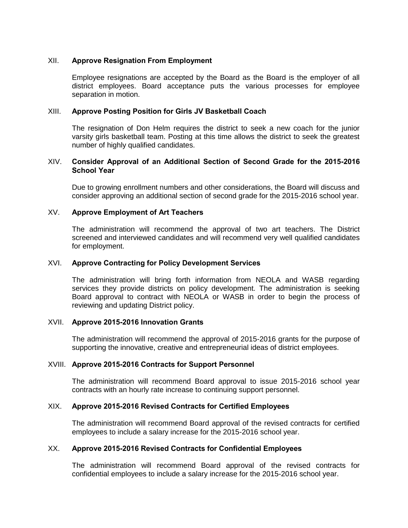# XII. **Approve Resignation From Employment**

Employee resignations are accepted by the Board as the Board is the employer of all district employees. Board acceptance puts the various processes for employee separation in motion.

# XIII. **Approve Posting Position for Girls JV Basketball Coach**

The resignation of Don Helm requires the district to seek a new coach for the junior varsity girls basketball team. Posting at this time allows the district to seek the greatest number of highly qualified candidates.

# XIV. **Consider Approval of an Additional Section of Second Grade for the 2015-2016 School Year**

Due to growing enrollment numbers and other considerations, the Board will discuss and consider approving an additional section of second grade for the 2015-2016 school year.

# XV. **Approve Employment of Art Teachers**

The administration will recommend the approval of two art teachers. The District screened and interviewed candidates and will recommend very well qualified candidates for employment.

# XVI. **Approve Contracting for Policy Development Services**

The administration will bring forth information from NEOLA and WASB regarding services they provide districts on policy development. The administration is seeking Board approval to contract with NEOLA or WASB in order to begin the process of reviewing and updating District policy.

#### XVII. **Approve 2015-2016 Innovation Grants**

The administration will recommend the approval of 2015-2016 grants for the purpose of supporting the innovative, creative and entrepreneurial ideas of district employees.

#### XVIII. **Approve 2015-2016 Contracts for Support Personnel**

The administration will recommend Board approval to issue 2015-2016 school year contracts with an hourly rate increase to continuing support personnel.

#### XIX. **Approve 2015-2016 Revised Contracts for Certified Employees**

The administration will recommend Board approval of the revised contracts for certified employees to include a salary increase for the 2015-2016 school year.

# XX. **Approve 2015-2016 Revised Contracts for Confidential Employees**

The administration will recommend Board approval of the revised contracts for confidential employees to include a salary increase for the 2015-2016 school year.